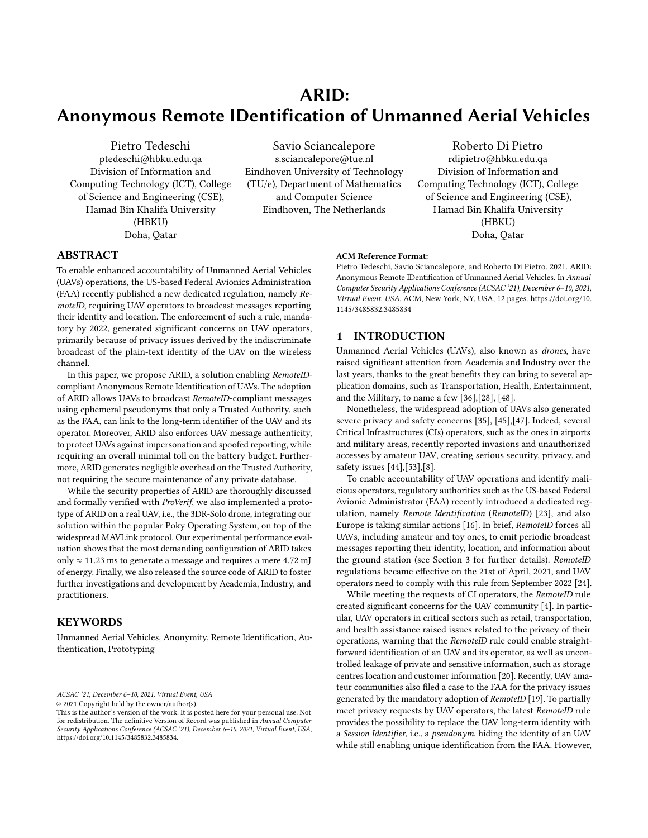# ARID: Anonymous Remote IDentification of Unmanned Aerial Vehicles

Pietro Tedeschi ptedeschi@hbku.edu.qa Division of Information and Computing Technology (ICT), College of Science and Engineering (CSE), Hamad Bin Khalifa University (HBKU) Doha, Qatar

Savio Sciancalepore s.sciancalepore@tue.nl Eindhoven University of Technology (TU/e), Department of Mathematics and Computer Science Eindhoven, The Netherlands

Roberto Di Pietro rdipietro@hbku.edu.qa Division of Information and Computing Technology (ICT), College of Science and Engineering (CSE), Hamad Bin Khalifa University (HBKU) Doha, Qatar

## ABSTRACT

To enable enhanced accountability of Unmanned Aerial Vehicles (UAVs) operations, the US-based Federal Avionics Administration (FAA) recently published a new dedicated regulation, namely RemoteID, requiring UAV operators to broadcast messages reporting their identity and location. The enforcement of such a rule, mandatory by 2022, generated significant concerns on UAV operators, primarily because of privacy issues derived by the indiscriminate broadcast of the plain-text identity of the UAV on the wireless channel.

In this paper, we propose ARID, a solution enabling RemoteIDcompliant Anonymous Remote Identification of UAVs. The adoption of ARID allows UAVs to broadcast RemoteID-compliant messages using ephemeral pseudonyms that only a Trusted Authority, such as the FAA, can link to the long-term identifier of the UAV and its operator. Moreover, ARID also enforces UAV message authenticity, to protect UAVs against impersonation and spoofed reporting, while requiring an overall minimal toll on the battery budget. Furthermore, ARID generates negligible overhead on the Trusted Authority, not requiring the secure maintenance of any private database.

While the security properties of ARID are thoroughly discussed and formally verified with ProVerif, we also implemented a prototype of ARID on a real UAV, i.e., the 3DR-Solo drone, integrating our solution within the popular Poky Operating System, on top of the widespread MAVLink protocol. Our experimental performance evaluation shows that the most demanding configuration of ARID takes only  $\approx$  11.23 ms to generate a message and requires a mere 4.72 mJ of energy. Finally, we also released the source code of ARID to foster further investigations and development by Academia, Industry, and practitioners.

## **KEYWORDS**

Unmanned Aerial Vehicles, Anonymity, Remote Identification, Authentication, Prototyping

ACSAC '21, December 6–10, 2021, Virtual Event, USA

© 2021 Copyright held by the owner/author(s).

#### ACM Reference Format:

Pietro Tedeschi, Savio Sciancalepore, and Roberto Di Pietro. 2021. ARID: Anonymous Remote IDentification of Unmanned Aerial Vehicles. In Annual Computer Security Applications Conference (ACSAC '21), December 6–10, 2021, Virtual Event, USA. ACM, New York, NY, USA, [12](#page-11-0) pages. [https://doi.org/10.](https://doi.org/10.1145/3485832.3485834) [1145/3485832.3485834](https://doi.org/10.1145/3485832.3485834)

#### 1 INTRODUCTION

Unmanned Aerial Vehicles (UAVs), also known as drones, have raised significant attention from Academia and Industry over the last years, thanks to the great benefits they can bring to several application domains, such as Transportation, Health, Entertainment, and the Military, to name a few [\[36\]](#page-10-0),[\[28\]](#page-10-1), [\[48\]](#page-11-1).

Nonetheless, the widespread adoption of UAVs also generated severe privacy and safety concerns [\[35\]](#page-10-2), [\[45\]](#page-11-2),[\[47\]](#page-11-3). Indeed, several Critical Infrastructures (CIs) operators, such as the ones in airports and military areas, recently reported invasions and unauthorized accesses by amateur UAV, creating serious security, privacy, and safety issues [\[44\]](#page-11-4),[\[53\]](#page-11-5),[\[8\]](#page-10-3).

To enable accountability of UAV operations and identify malicious operators, regulatory authorities such as the US-based Federal Avionic Administrator (FAA) recently introduced a dedicated regulation, namely Remote Identification (RemoteID) [\[23\]](#page-10-4), and also Europe is taking similar actions [\[16\]](#page-10-5). In brief, RemoteID forces all UAVs, including amateur and toy ones, to emit periodic broadcast messages reporting their identity, location, and information about the ground station (see Section [3](#page-2-0) for further details). RemoteID regulations became effective on the 21st of April, 2021, and UAV operators need to comply with this rule from September 2022 [\[24\]](#page-10-6).

While meeting the requests of CI operators, the RemoteID rule created significant concerns for the UAV community [\[4\]](#page-10-7). In particular, UAV operators in critical sectors such as retail, transportation, and health assistance raised issues related to the privacy of their operations, warning that the RemoteID rule could enable straightforward identification of an UAV and its operator, as well as uncontrolled leakage of private and sensitive information, such as storage centres location and customer information [\[20\]](#page-10-8). Recently, UAV amateur communities also filed a case to the FAA for the privacy issues generated by the mandatory adoption of RemoteID [\[19\]](#page-10-9). To partially meet privacy requests by UAV operators, the latest RemoteID rule provides the possibility to replace the UAV long-term identity with a Session Identifier, i.e., a pseudonym, hiding the identity of an UAV while still enabling unique identification from the FAA. However,

This is the author's version of the work. It is posted here for your personal use. Not for redistribution. The definitive Version of Record was published in Annual Computer Security Applications Conference (ACSAC '21), December 6–10, 2021, Virtual Event, USA, [https://doi.org/10.1145/3485832.3485834.](https://doi.org/10.1145/3485832.3485834)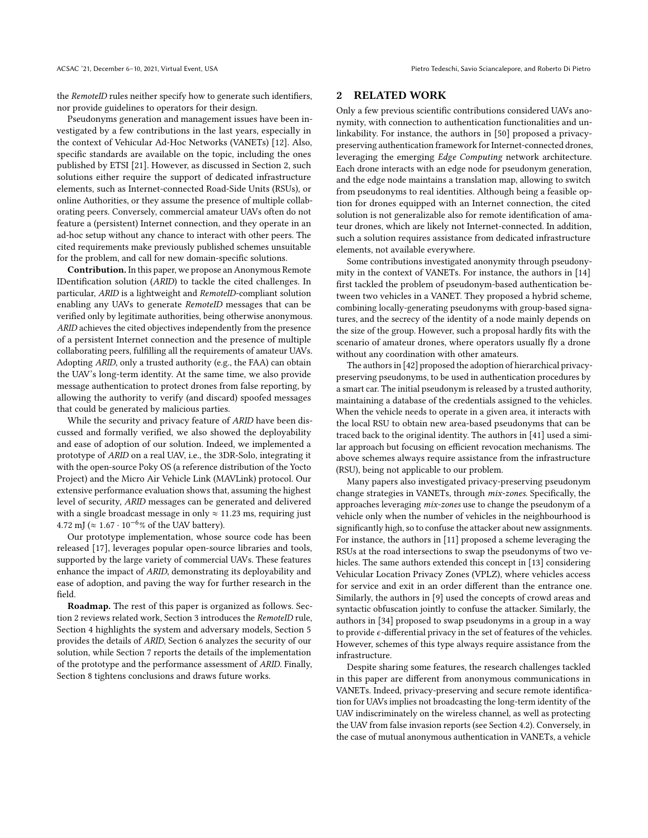the RemoteID rules neither specify how to generate such identifiers, nor provide guidelines to operators for their design.

Pseudonyms generation and management issues have been investigated by a few contributions in the last years, especially in the context of Vehicular Ad-Hoc Networks (VANETs) [\[12\]](#page-10-10). Also, specific standards are available on the topic, including the ones published by ETSI [\[21\]](#page-10-11). However, as discussed in Section [2,](#page-1-0) such solutions either require the support of dedicated infrastructure elements, such as Internet-connected Road-Side Units (RSUs), or online Authorities, or they assume the presence of multiple collaborating peers. Conversely, commercial amateur UAVs often do not feature a (persistent) Internet connection, and they operate in an ad-hoc setup without any chance to interact with other peers. The cited requirements make previously published schemes unsuitable for the problem, and call for new domain-specific solutions.

Contribution. In this paper, we propose an Anonymous Remote IDentification solution (ARID) to tackle the cited challenges. In particular, ARID is a lightweight and RemoteID-compliant solution enabling any UAVs to generate RemoteID messages that can be verified only by legitimate authorities, being otherwise anonymous. ARID achieves the cited objectives independently from the presence of a persistent Internet connection and the presence of multiple collaborating peers, fulfilling all the requirements of amateur UAVs. Adopting ARID, only a trusted authority (e.g., the FAA) can obtain the UAV's long-term identity. At the same time, we also provide message authentication to protect drones from false reporting, by allowing the authority to verify (and discard) spoofed messages that could be generated by malicious parties.

While the security and privacy feature of ARID have been discussed and formally verified, we also showed the deployability and ease of adoption of our solution. Indeed, we implemented a prototype of ARID on a real UAV, i.e., the 3DR-Solo, integrating it with the open-source Poky OS (a reference distribution of the Yocto Project) and the Micro Air Vehicle Link (MAVLink) protocol. Our extensive performance evaluation shows that, assuming the highest level of security, ARID messages can be generated and delivered with a single broadcast message in only  $\approx 11.23$  ms, requiring just 4.72 mJ ( $\approx 1.67 \cdot 10^{-6}$ % of the UAV battery).

Our prototype implementation, whose source code has been released [\[17\]](#page-10-12), leverages popular open-source libraries and tools, supported by the large variety of commercial UAVs. These features enhance the impact of ARID, demonstrating its deployability and ease of adoption, and paving the way for further research in the field.

Roadmap. The rest of this paper is organized as follows. Section [2](#page-1-0) reviews related work, Section [3](#page-2-0) introduces the RemoteID rule, Section [4](#page-2-1) highlights the system and adversary models, Section [5](#page-4-0) provides the details of ARID, Section [6](#page-6-0) analyzes the security of our solution, while Section [7](#page-7-0) reports the details of the implementation of the prototype and the performance assessment of ARID. Finally, Section [8](#page-9-0) tightens conclusions and draws future works.

## <span id="page-1-0"></span>2 RELATED WORK

Only a few previous scientific contributions considered UAVs anonymity, with connection to authentication functionalities and unlinkability. For instance, the authors in [\[50\]](#page-11-6) proposed a privacypreserving authentication framework for Internet-connected drones, leveraging the emerging Edge Computing network architecture. Each drone interacts with an edge node for pseudonym generation, and the edge node maintains a translation map, allowing to switch from pseudonyms to real identities. Although being a feasible option for drones equipped with an Internet connection, the cited solution is not generalizable also for remote identification of amateur drones, which are likely not Internet-connected. In addition, such a solution requires assistance from dedicated infrastructure elements, not available everywhere.

Some contributions investigated anonymity through pseudonymity in the context of VANETs. For instance, the authors in [\[14\]](#page-10-13) first tackled the problem of pseudonym-based authentication between two vehicles in a VANET. They proposed a hybrid scheme, combining locally-generating pseudonyms with group-based signatures, and the secrecy of the identity of a node mainly depends on the size of the group. However, such a proposal hardly fits with the scenario of amateur drones, where operators usually fly a drone without any coordination with other amateurs.

The authors in [\[42\]](#page-11-7) proposed the adoption of hierarchical privacypreserving pseudonyms, to be used in authentication procedures by a smart car. The initial pseudonym is released by a trusted authority, maintaining a database of the credentials assigned to the vehicles. When the vehicle needs to operate in a given area, it interacts with the local RSU to obtain new area-based pseudonyms that can be traced back to the original identity. The authors in [\[41\]](#page-11-8) used a similar approach but focusing on efficient revocation mechanisms. The above schemes always require assistance from the infrastructure (RSU), being not applicable to our problem.

Many papers also investigated privacy-preserving pseudonym change strategies in VANETs, through mix-zones. Specifically, the approaches leveraging mix-zones use to change the pseudonym of a vehicle only when the number of vehicles in the neighbourhood is significantly high, so to confuse the attacker about new assignments. For instance, the authors in [\[11\]](#page-10-14) proposed a scheme leveraging the RSUs at the road intersections to swap the pseudonyms of two vehicles. The same authors extended this concept in [\[13\]](#page-10-15) considering Vehicular Location Privacy Zones (VPLZ), where vehicles access for service and exit in an order different than the entrance one. Similarly, the authors in [\[9\]](#page-10-16) used the concepts of crowd areas and syntactic obfuscation jointly to confuse the attacker. Similarly, the authors in [\[34\]](#page-10-17) proposed to swap pseudonyms in a group in a way to provide  $\epsilon$ -differential privacy in the set of features of the vehicles. However, schemes of this type always require assistance from the infrastructure.

Despite sharing some features, the research challenges tackled in this paper are different from anonymous communications in VANETs. Indeed, privacy-preserving and secure remote identification for UAVs implies not broadcasting the long-term identity of the UAV indiscriminately on the wireless channel, as well as protecting the UAV from false invasion reports (see Section [4.2\)](#page-4-1). Conversely, in the case of mutual anonymous authentication in VANETs, a vehicle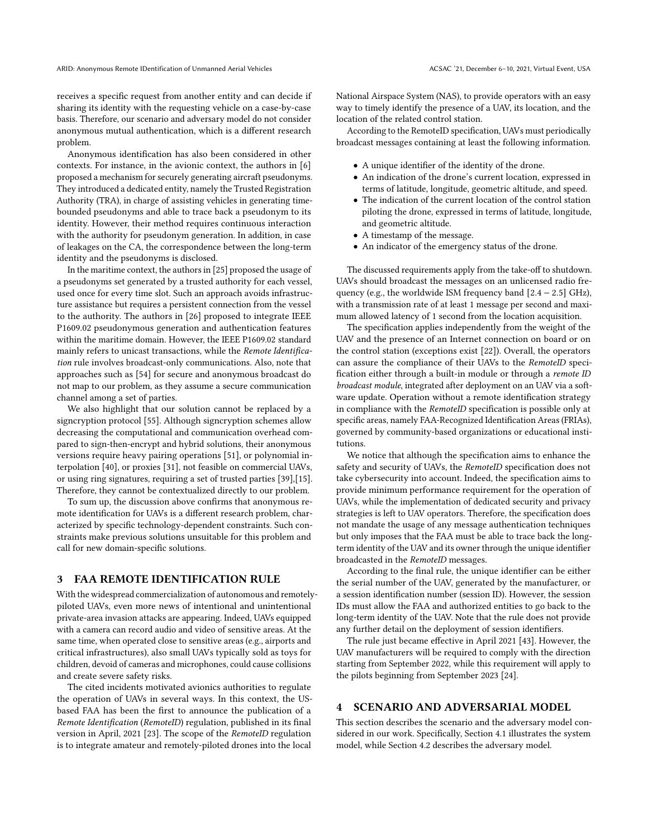receives a specific request from another entity and can decide if sharing its identity with the requesting vehicle on a case-by-case basis. Therefore, our scenario and adversary model do not consider anonymous mutual authentication, which is a different research problem.

Anonymous identification has also been considered in other contexts. For instance, in the avionic context, the authors in [\[6\]](#page-10-18) proposed a mechanism for securely generating aircraft pseudonyms. They introduced a dedicated entity, namely the Trusted Registration Authority (TRA), in charge of assisting vehicles in generating timebounded pseudonyms and able to trace back a pseudonym to its identity. However, their method requires continuous interaction with the authority for pseudonym generation. In addition, in case of leakages on the CA, the correspondence between the long-term identity and the pseudonyms is disclosed.

In the maritime context, the authors in [\[25\]](#page-10-19) proposed the usage of a pseudonyms set generated by a trusted authority for each vessel, used once for every time slot. Such an approach avoids infrastructure assistance but requires a persistent connection from the vessel to the authority. The authors in [\[26\]](#page-10-20) proposed to integrate IEEE P1609.02 pseudonymous generation and authentication features within the maritime domain. However, the IEEE P1609.02 standard mainly refers to unicast transactions, while the Remote Identification rule involves broadcast-only communications. Also, note that approaches such as [\[54\]](#page-11-9) for secure and anonymous broadcast do not map to our problem, as they assume a secure communication channel among a set of parties.

We also highlight that our solution cannot be replaced by a signcryption protocol [\[55\]](#page-11-10). Although signcryption schemes allow decreasing the computational and communication overhead compared to sign-then-encrypt and hybrid solutions, their anonymous versions require heavy pairing operations [\[51\]](#page-11-11), or polynomial interpolation [\[40\]](#page-10-21), or proxies [\[31\]](#page-10-22), not feasible on commercial UAVs, or using ring signatures, requiring a set of trusted parties [\[39\]](#page-10-23),[\[15\]](#page-10-24). Therefore, they cannot be contextualized directly to our problem.

To sum up, the discussion above confirms that anonymous remote identification for UAVs is a different research problem, characterized by specific technology-dependent constraints. Such constraints make previous solutions unsuitable for this problem and call for new domain-specific solutions.

## <span id="page-2-0"></span>3 FAA REMOTE IDENTIFICATION RULE

With the widespread commercialization of autonomous and remotelypiloted UAVs, even more news of intentional and unintentional private-area invasion attacks are appearing. Indeed, UAVs equipped with a camera can record audio and video of sensitive areas. At the same time, when operated close to sensitive areas (e.g., airports and critical infrastructures), also small UAVs typically sold as toys for children, devoid of cameras and microphones, could cause collisions and create severe safety risks.

The cited incidents motivated avionics authorities to regulate the operation of UAVs in several ways. In this context, the USbased FAA has been the first to announce the publication of a Remote Identification (RemoteID) regulation, published in its final version in April, 2021 [\[23\]](#page-10-4). The scope of the RemoteID regulation is to integrate amateur and remotely-piloted drones into the local

National Airspace System (NAS), to provide operators with an easy way to timely identify the presence of a UAV, its location, and the location of the related control station.

According to the RemoteID specification, UAVs must periodically broadcast messages containing at least the following information.

- A unique identifier of the identity of the drone.
- An indication of the drone's current location, expressed in terms of latitude, longitude, geometric altitude, and speed.
- The indication of the current location of the control station piloting the drone, expressed in terms of latitude, longitude, and geometric altitude.
- A timestamp of the message.
- An indicator of the emergency status of the drone.

The discussed requirements apply from the take-off to shutdown. UAVs should broadcast the messages on an unlicensed radio frequency (e.g., the worldwide ISM frequency band  $[2.4 - 2.5]$  GHz), with a transmission rate of at least 1 message per second and maximum allowed latency of 1 second from the location acquisition.

The specification applies independently from the weight of the UAV and the presence of an Internet connection on board or on the control station (exceptions exist [\[22\]](#page-10-25)). Overall, the operators can assure the compliance of their UAVs to the RemoteID specification either through a built-in module or through a remote ID broadcast module, integrated after deployment on an UAV via a software update. Operation without a remote identification strategy in compliance with the RemoteID specification is possible only at specific areas, namely FAA-Recognized Identification Areas (FRIAs), governed by community-based organizations or educational institutions.

We notice that although the specification aims to enhance the safety and security of UAVs, the RemoteID specification does not take cybersecurity into account. Indeed, the specification aims to provide minimum performance requirement for the operation of UAVs, while the implementation of dedicated security and privacy strategies is left to UAV operators. Therefore, the specification does not mandate the usage of any message authentication techniques but only imposes that the FAA must be able to trace back the longterm identity of the UAV and its owner through the unique identifier broadcasted in the RemoteID messages.

According to the final rule, the unique identifier can be either the serial number of the UAV, generated by the manufacturer, or a session identification number (session ID). However, the session IDs must allow the FAA and authorized entities to go back to the long-term identity of the UAV. Note that the rule does not provide any further detail on the deployment of session identifiers.

The rule just became effective in April 2021 [\[43\]](#page-11-12). However, the UAV manufacturers will be required to comply with the direction starting from September 2022, while this requirement will apply to the pilots beginning from September 2023 [\[24\]](#page-10-6).

## <span id="page-2-1"></span>4 SCENARIO AND ADVERSARIAL MODEL

This section describes the scenario and the adversary model considered in our work. Specifically, Section [4.1](#page-3-0) illustrates the system model, while Section [4.2](#page-4-1) describes the adversary model.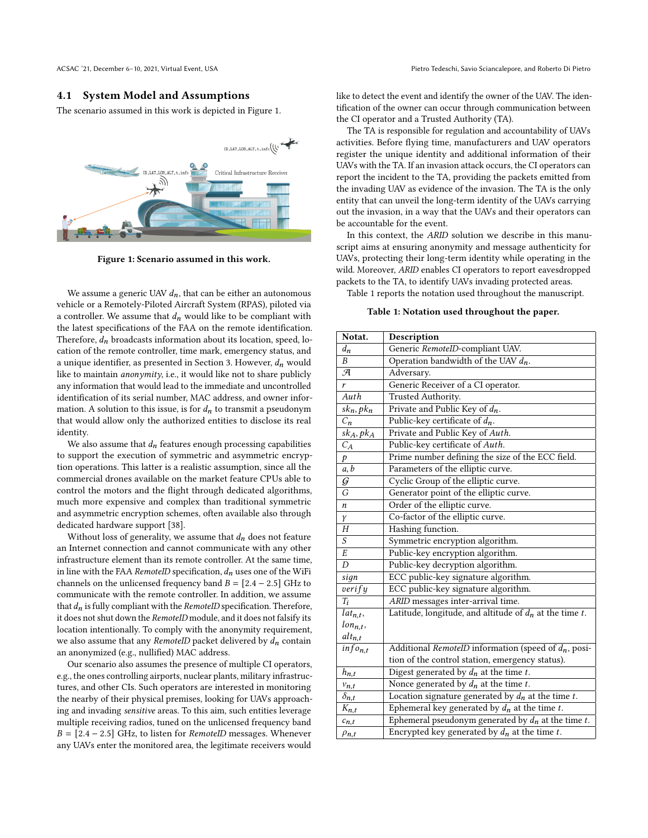## <span id="page-3-0"></span>4.1 System Model and Assumptions

The scenario assumed in this work is depicted in Figure [1.](#page-3-1)

<span id="page-3-1"></span>

Figure 1: Scenario assumed in this work.

We assume a generic UAV  $d_n$ , that can be either an autonomous vehicle or a Remotely-Piloted Aircraft System (RPAS), piloted via a controller. We assume that  $d_n$  would like to be compliant with the latest specifications of the FAA on the remote identification. Therefore,  $d_n$  broadcasts information about its location, speed, location of the remote controller, time mark, emergency status, and a unique identifier, as presented in Section [3.](#page-2-0) However,  $d_n$  would like to maintain anonymity, i.e., it would like not to share publicly any information that would lead to the immediate and uncontrolled identification of its serial number, MAC address, and owner information. A solution to this issue, is for  $d_n$  to transmit a pseudonym that would allow only the authorized entities to disclose its real identity.

We also assume that  $d_n$  features enough processing capabilities to support the execution of symmetric and asymmetric encryption operations. This latter is a realistic assumption, since all the commercial drones available on the market feature CPUs able to control the motors and the flight through dedicated algorithms, much more expensive and complex than traditional symmetric and asymmetric encryption schemes, often available also through dedicated hardware support [\[38\]](#page-10-26).

Without loss of generality, we assume that  $d_n$  does not feature an Internet connection and cannot communicate with any other infrastructure element than its remote controller. At the same time, in line with the FAA RemoteID specification,  $d_n$  uses one of the WiFi channels on the unlicensed frequency band  $B = [2.4 - 2.5]$  GHz to communicate with the remote controller. In addition, we assume that  $d_n$  is fully compliant with the RemoteID specification. Therefore, it does not shut down the RemoteID module, and it does not falsify its location intentionally. To comply with the anonymity requirement, we also assume that any RemoteID packet delivered by  $d_n$  contain an anonymized (e.g., nullified) MAC address.

Our scenario also assumes the presence of multiple CI operators, e.g., the ones controlling airports, nuclear plants, military infrastructures, and other CIs. Such operators are interested in monitoring the nearby of their physical premises, looking for UAVs approaching and invading sensitive areas. To this aim, such entities leverage multiple receiving radios, tuned on the unlicensed frequency band  $B = [2.4 - 2.5]$  GHz, to listen for RemoteID messages. Whenever any UAVs enter the monitored area, the legitimate receivers would

like to detect the event and identify the owner of the UAV. The identification of the owner can occur through communication between the CI operator and a Trusted Authority (TA).

The TA is responsible for regulation and accountability of UAVs activities. Before flying time, manufacturers and UAV operators register the unique identity and additional information of their UAVs with the TA. If an invasion attack occurs, the CI operators can report the incident to the TA, providing the packets emitted from the invading UAV as evidence of the invasion. The TA is the only entity that can unveil the long-term identity of the UAVs carrying out the invasion, in a way that the UAVs and their operators can be accountable for the event.

In this context, the ARID solution we describe in this manuscript aims at ensuring anonymity and message authenticity for UAVs, protecting their long-term identity while operating in the wild. Moreover, ARID enables CI operators to report eavesdropped packets to the TA, to identify UAVs invading protected areas.

<span id="page-3-2"></span>Table [1](#page-3-2) reports the notation used throughout the manuscript.

Table 1: Notation used throughout the paper.

| Notat.          | Description                                                  |
|-----------------|--------------------------------------------------------------|
| $d_n$           | Generic RemoteID-compliant UAV.                              |
| B               | Operation bandwidth of the UAV $d_n$ .                       |
| $\mathcal{F}$   | Adversary.                                                   |
| r               | Generic Receiver of a CI operator.                           |
| Auth            | Trusted Authority.                                           |
| $sk_n, pk_n$    | Private and Public Key of $d_n$ .                            |
| $\mathcal{C}_n$ | Public-key certificate of $d_n$ .                            |
| $sk_A, pk_A$    | Private and Public Key of Auth.                              |
| $C_A$           | Public-key certificate of Auth.                              |
| p               | Prime number defining the size of the ECC field.             |
| a, b            | Parameters of the elliptic curve.                            |
| $\mathcal{G}$   | Cyclic Group of the elliptic curve.                          |
| $\overline{G}$  | Generator point of the elliptic curve.                       |
| n               | Order of the elliptic curve.                                 |
| Υ               | Co-factor of the elliptic curve.                             |
| H               | Hashing function.                                            |
| S               | Symmetric encryption algorithm.                              |
| E               | Public-key encryption algorithm.                             |
| D               | Public-key decryption algorithm.                             |
| sign            | ECC public-key signature algorithm.                          |
| verify          | ECC public-key signature algorithm.                          |
| $T_i$           | ARID messages inter-arrival time.                            |
| $lat_{n,t}$ ,   | Latitude, longitude, and altitude of $d_n$ at the time $t$ . |
| $lon_{n,t}$ ,   |                                                              |
| $alt_{n,t}$     |                                                              |
| $info_{n,t}$    | Additional RemotelD information (speed of $d_n$ , posi-      |
|                 | tion of the control station, emergency status).              |
| $h_{n,t}$       | Digest generated by $d_n$ at the time t.                     |
| $v_{n,t}$       | Nonce generated by $d_n$ at the time t.                      |
| $\delta_{n,t}$  | Location signature generated by $d_n$ at the time t.         |
| $K_{n,t}$       | Ephemeral key generated by $d_n$ at the time t.              |
| $c_{n,t}$       | Ephemeral pseudonym generated by $d_n$ at the time t.        |
| $\rho_{n,t}$    | Encrypted key generated by $d_n$ at the time t.              |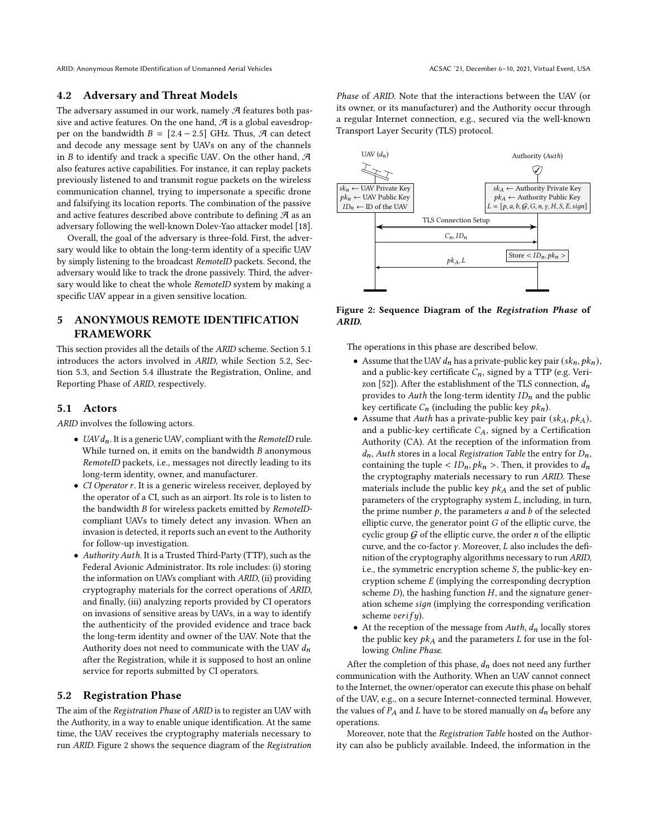ARID: Anonymous Remote IDentification of Unmanned Aerial Vehicles ACSAC '21, December 6–10, 2021, Virtual Event, USA

## <span id="page-4-1"></span>4.2 Adversary and Threat Models

The adversary assumed in our work, namely  $\mathcal A$  features both passive and active features. On the one hand,  $\mathcal A$  is a global eavesdropper on the bandwidth  $B = [2.4 - 2.5]$  GHz. Thus,  $\mathcal{A}$  can detect and decode any message sent by UAVs on any of the channels in  $B$  to identify and track a specific UAV. On the other hand,  $A$ also features active capabilities. For instance, it can replay packets previously listened to and transmit rogue packets on the wireless communication channel, trying to impersonate a specific drone and falsifying its location reports. The combination of the passive and active features described above contribute to defining  $\mathcal A$  as an adversary following the well-known Dolev-Yao attacker model [\[18\]](#page-10-27).

Overall, the goal of the adversary is three-fold. First, the adversary would like to obtain the long-term identity of a specific UAV by simply listening to the broadcast RemoteID packets. Second, the adversary would like to track the drone passively. Third, the adversary would like to cheat the whole RemoteID system by making a specific UAV appear in a given sensitive location.

# <span id="page-4-0"></span>5 ANONYMOUS REMOTE IDENTIFICATION FRAMEWORK

This section provides all the details of the ARID scheme. Section [5.1](#page-4-2) introduces the actors involved in ARID, while Section [5.2,](#page-4-3) Section [5.3,](#page-5-0) and Section [5.4](#page-5-1) illustrate the Registration, Online, and Reporting Phase of ARID, respectively.

## <span id="page-4-2"></span>5.1 Actors

ARID involves the following actors.

- UAV $d_n$ . It is a generic UAV, compliant with the RemoteID rule. While turned on, it emits on the bandwidth  $B$  anonymous RemoteID packets, i.e., messages not directly leading to its long-term identity, owner, and manufacturer.
- CI Operator r. It is a generic wireless receiver, deployed by the operator of a CI, such as an airport. Its role is to listen to the bandwidth *B* for wireless packets emitted by *RemoteID*compliant UAVs to timely detect any invasion. When an invasion is detected, it reports such an event to the Authority for follow-up investigation.
- Authority Auth. It is a Trusted Third-Party (TTP), such as the Federal Avionic Administrator. Its role includes: (i) storing the information on UAVs compliant with ARID, (ii) providing cryptography materials for the correct operations of ARID, and finally, (iii) analyzing reports provided by CI operators on invasions of sensitive areas by UAVs, in a way to identify the authenticity of the provided evidence and trace back the long-term identity and owner of the UAV. Note that the Authority does not need to communicate with the UAV  $d_n$ after the Registration, while it is supposed to host an online service for reports submitted by CI operators.

## <span id="page-4-3"></span>5.2 Registration Phase

The aim of the Registration Phase of ARID is to register an UAV with the Authority, in a way to enable unique identification. At the same time, the UAV receives the cryptography materials necessary to run ARID. Figure [2](#page-4-4) shows the sequence diagram of the Registration

Phase of ARID. Note that the interactions between the UAV (or its owner, or its manufacturer) and the Authority occur through a regular Internet connection, e.g., secured via the well-known Transport Layer Security (TLS) protocol.

<span id="page-4-4"></span>

Figure 2: Sequence Diagram of the Registration Phase of ARID.

The operations in this phase are described below.

- Assume that the UAV  $d_n$  has a private-public key pair  $(s k_n, p k_n)$ , and a public-key certificate  $C_n$ , signed by a TTP (e.g. Veri-zon [\[52\]](#page-11-13)). After the establishment of the TLS connection,  $d_n$ provides to Auth the long-term identity  $ID_n$  and the public key certificate  $C_n$  (including the public key  $pk_n$ ).
- Assume that Auth has a private-public key pair  $(s k<sub>A</sub>, p k<sub>A</sub>)$ , and a public-key certificate  $C_A$ , signed by a Certification Authority (CA). At the reception of the information from  $d_n$ , Auth stores in a local Registration Table the entry for  $D_n$ , containing the tuple <  $ID_n$ ,  $pk_n$  >. Then, it provides to  $d_n$ the cryptography materials necessary to run ARID. These materials include the public key  $pk<sub>A</sub>$  and the set of public parameters of the cryptography system  $L$ , including, in turn, the prime number  $p$ , the parameters  $a$  and  $b$  of the selected elliptic curve, the generator point  $G$  of the elliptic curve, the cyclic group  $G$  of the elliptic curve, the order  $n$  of the elliptic curve, and the co-factor  $\gamma$ . Moreover,  $L$  also includes the definition of the cryptography algorithms necessary to run ARID, i.e., the symmetric encryption scheme  $S$ , the public-key encryption scheme  $E$  (implying the corresponding decryption scheme  $D$ ), the hashing function  $H$ , and the signature generation scheme sign (implying the corresponding verification scheme  $verify$ ).
- At the reception of the message from  $Auth, d<sub>n</sub>$  locally stores the public key  $pk_A$  and the parameters  $L$  for use in the following Online Phase.

After the completion of this phase,  $d_n$  does not need any further communication with the Authority. When an UAV cannot connect to the Internet, the owner/operator can execute this phase on behalf of the UAV, e.g., on a secure Internet-connected terminal. However, the values of  $P_A$  and  $L$  have to be stored manually on  $d_n$  before any operations.

Moreover, note that the Registration Table hosted on the Authority can also be publicly available. Indeed, the information in the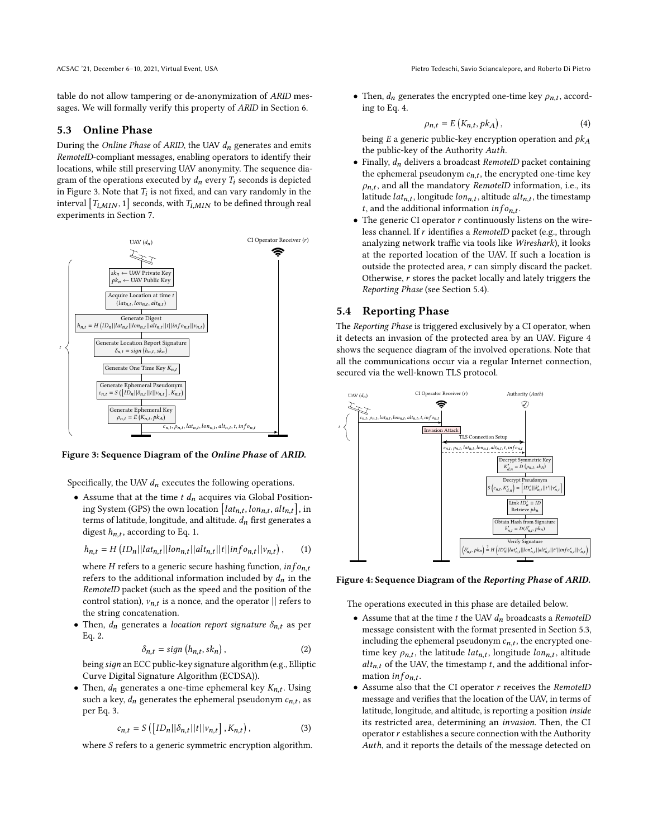table do not allow tampering or de-anonymization of ARID messages. We will formally verify this property of ARID in Section [6.](#page-6-0)

## <span id="page-5-0"></span>5.3 Online Phase

During the Online Phase of ARID, the UAV  $d_n$  generates and emits RemoteID-compliant messages, enabling operators to identify their locations, while still preserving UAV anonymity. The sequence diagram of the operations executed by  $d_n$  every  $T_i$  seconds is depicted in Figure [3.](#page-5-2) Note that  $T_i$  is not fixed, and can vary randomly in the interval  $[T_{i,MIN}, 1]$  seconds, with  $T_{i,MIN}$  to be defined through real experiments in Section [7.](#page-7-0)

<span id="page-5-2"></span>

Figure 3: Sequence Diagram of the Online Phase of ARID.

Specifically, the UAV  $d_n$  executes the following operations.

• Assume that at the time  $t$   $d_n$  acquires via Global Positioning System (GPS) the own location  $\left[ lat_{n,t}, lon_{n,t}, alt_{n,t} \right]$ , in terms of latitude, longitude, and altitude.  $d_n$  first generates a digest  $h_{n,t}$ , according to Eq. [1.](#page-5-3)

<span id="page-5-3"></span>
$$
h_{n,t} = H\left( ID_n || lat_{n,t} || lon_{n,t} || alt_{n,t} || t || inf_{on,t} || v_{n,t} \right), \qquad (1)
$$

where *H* refers to a generic secure hashing function,  $info_{n,t}$ refers to the additional information included by  $d_n$  in the RemoteID packet (such as the speed and the position of the control station),  $v_{n,t}$  is a nonce, and the operator  $||$  refers to the string concatenation.

• Then,  $d_n$  generates a *location report signature*  $\delta_{n,t}$  as per Eq. [2.](#page-5-4)

<span id="page-5-4"></span>
$$
\delta_{n,t} = sign(h_{n,t}, sk_n), \qquad (2)
$$

being sign an ECC public-key signature algorithm (e.g., Elliptic Curve Digital Signature Algorithm (ECDSA)).

• Then,  $d_n$  generates a one-time ephemeral key  $K_{n,t}$ . Using such a key,  $d_n$  generates the ephemeral pseudonym  $\boldsymbol{c}_{n,t},$  as per Eq. [3.](#page-5-5)

<span id="page-5-5"></span>
$$
c_{n,t} = S\left(\left[ID_n||\delta_{n,t}||t||v_{n,t}\right], K_{n,t}\right),\tag{3}
$$

where  $S$  refers to a generic symmetric encryption algorithm.

ACSAC '21, December 6–10, 2021, Virtual Event, USA Pietro Tedeschi, Savio Sciancalepore, and Roberto Di Pietro

• Then,  $d_n$  generates the encrypted one-time key  $\rho_{n,t}$ , according to Eq. [4.](#page-5-6)

<span id="page-5-6"></span>
$$
\rho_{n,t} = E\left(K_{n,t}, p k_A\right),\tag{4}
$$

being  $E$  a generic public-key encryption operation and  $pk<sub>A</sub>$ the public-key of the Authority Auth.

- Finally,  $d_n$  delivers a broadcast RemoteID packet containing the ephemeral pseudonym  $c_{n,t}$ , the encrypted one-time key  $\rho_{n,t}$ , and all the mandatory RemoteID information, i.e., its latitude  $lat_{n,t}$ , longitude  $lon_{n,t}$ , altitude  $alt_{n,t}$ , the timestamp t, and the additional information  $info_{n,t}$ .
- $\bullet$  The generic CI operator  $r$  continuously listens on the wireless channel. If  $r$  identifies a RemoteID packet (e.g., through analyzing network traffic via tools like Wireshark), it looks at the reported location of the UAV. If such a location is outside the protected area,  $r$  can simply discard the packet. Otherwise,  $r$  stores the packet locally and lately triggers the Reporting Phase (see Section [5.4\)](#page-5-1).

#### <span id="page-5-1"></span>5.4 Reporting Phase

The Reporting Phase is triggered exclusively by a CI operator, when it detects an invasion of the protected area by an UAV. Figure [4](#page-5-7) shows the sequence diagram of the involved operations. Note that all the communications occur via a regular Internet connection, secured via the well-known TLS protocol.

<span id="page-5-7"></span>

Figure 4: Sequence Diagram of the Reporting Phase of ARID.

The operations executed in this phase are detailed below.

- Assume that at the time  $t$  the UAV  $d_n$  broadcasts a RemoteID message consistent with the format presented in Section [5.3,](#page-5-0) including the ephemeral pseudonym  $c_{n,t}$ , the encrypted onetime key  $\rho_{n,t}$ , the latitude *lat<sub>n.t</sub>*, longitude *lon*<sub>n.t</sub>, altitude  $alt_{n,t}$  of the UAV, the timestamp t, and the additional information  $info_{n,t}$ .
- $\bullet$  Assume also that the CI operator  $r$  receives the RemoteID message and verifies that the location of the UAV, in terms of latitude, longitude, and altitude, is reporting a position inside its restricted area, determining an invasion. Then, the CI operator  $r$  establishes a secure connection with the Authority Auth, and it reports the details of the message detected on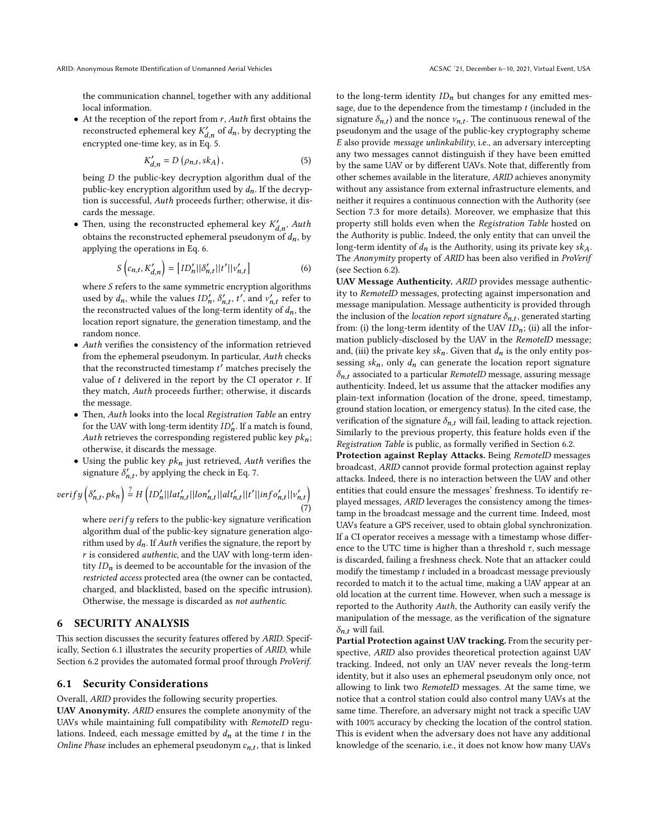the communication channel, together with any additional local information.

• At the reception of the report from  $r$ ,  $Auth$  first obtains the reconstructed ephemeral key  $K'_{d,n}$  of  $d_n$ , by decrypting the encrypted one-time key, as in Eq. [5.](#page-6-1)

<span id="page-6-1"></span>
$$
K'_{d,n} = D\left(\rho_{n,t}, sk_A\right),\tag{5}
$$

being  $D$  the public-key decryption algorithm dual of the public-key encryption algorithm used by  $d_n$ . If the decryption is successful, Auth proceeds further; otherwise, it discards the message.

• Then, using the reconstructed ephemeral key  $K'_{d,n}$ , Auth obtains the reconstructed ephemeral pseudonym of  $d_n$ , by applying the operations in Eq. [6.](#page-6-2)

<span id="page-6-2"></span>
$$
S\left(c_{n,t}, K'_{d,n}\right) = \left[ID'_n||\delta'_{n,t}||t'||v'_{n,t}\right]
$$
 (6)

where  $S$  refers to the same symmetric encryption algorithms used by  $d_n$ , while the values  $ID'_n$ ,  $\delta'_{n,t}$ ,  $t'$ , and  $v'_{n,t}$  refer to the reconstructed values of the long-term identity of  $d_n$ , the location report signature, the generation timestamp, and the random nonce.

- Auth verifies the consistency of the information retrieved from the ephemeral pseudonym. In particular, Auth checks that the reconstructed timestamp  $t'$  matches precisely the value of  $t$  delivered in the report by the CI operator  $r$ . If they match, Auth proceeds further; otherwise, it discards the message.
- Then, Auth looks into the local Registration Table an entry for the UAV with long-term identity  $ID'_n$ . If a match is found, Auth retrieves the corresponding registered public key  $pk_n$ ; otherwise, it discards the message.
- Using the public key  $pk_n$  just retrieved, Auth verifies the signature  $\delta'_{n,t}$ , by applying the check in Eq. [7.](#page-6-3)

<span id="page-6-3"></span>
$$
verify\left(\delta'_{n,t}, pk_n\right) \stackrel{?}{=} H\left(ID'_n||lat'_{n,t}||lon'_{n,t}||alt'_{n,t}||t'||inf o'_{n,t}||v'_{n,t}\right) \tag{7}
$$

where  $verify$  refers to the public-key signature verification algorithm dual of the public-key signature generation algorithm used by  $d_n$ . If Auth verifies the signature, the report by  $r$  is considered *authentic*, and the UAV with long-term identity  $ID_n$  is deemed to be accountable for the invasion of the restricted access protected area (the owner can be contacted, charged, and blacklisted, based on the specific intrusion). Otherwise, the message is discarded as not authentic.

## <span id="page-6-0"></span>6 SECURITY ANALYSIS

This section discusses the security features offered by ARID. Specifically, Section [6.1](#page-6-4) illustrates the security properties of ARID, while Section [6.2](#page-7-1) provides the automated formal proof through ProVerif.

#### <span id="page-6-4"></span>6.1 Security Considerations

Overall, ARID provides the following security properties.

UAV Anonymity. ARID ensures the complete anonymity of the UAVs while maintaining full compatibility with RemoteID regulations. Indeed, each message emitted by  $d_n$  at the time  $t$  in the Online Phase includes an ephemeral pseudonym  $c_{n,t}$ , that is linked to the long-term identity  $ID_n$  but changes for any emitted message, due to the dependence from the timestamp  $t$  (included in the signature  $\delta_{n,t}$ ) and the nonce  $v_{n,t}$ . The continuous renewal of the pseudonym and the usage of the public-key cryptography scheme  $E$  also provide *message unlinkability*, i.e., an adversary intercepting any two messages cannot distinguish if they have been emitted by the same UAV or by different UAVs. Note that, differently from other schemes available in the literature, ARID achieves anonymity without any assistance from external infrastructure elements, and neither it requires a continuous connection with the Authority (see Section [7.3](#page-9-1) for more details). Moreover, we emphasize that this property still holds even when the Registration Table hosted on the Authority is public. Indeed, the only entity that can unveil the long-term identity of  $d_n$  is the Authority, using its private key  $sk_A$ . The Anonymity property of ARID has been also verified in ProVerif (see Section [6.2\)](#page-7-1).

UAV Message Authenticity. ARID provides message authenticity to RemoteID messages, protecting against impersonation and message manipulation. Message authenticity is provided through the inclusion of the location report signature  $\delta_{n,t}$ , generated starting from: (i) the long-term identity of the UAV  $ID_n$ ; (ii) all the information publicly-disclosed by the UAV in the RemoteID message; and, (iii) the private key  $sk_n$ . Given that  $d_n$  is the only entity possessing  $sk_n$ , only  $d_n$  can generate the location report signature  $\delta_{n,t}$  associated to a particular *RemoteID* message, assuring message authenticity. Indeed, let us assume that the attacker modifies any plain-text information (location of the drone, speed, timestamp, ground station location, or emergency status). In the cited case, the verification of the signature  $\delta_{n,t}$  will fail, leading to attack rejection. Similarly to the previous property, this feature holds even if the Registration Table is public, as formally verified in Section [6.2.](#page-7-1)

Protection against Replay Attacks. Being RemoteID messages broadcast, ARID cannot provide formal protection against replay attacks. Indeed, there is no interaction between the UAV and other entities that could ensure the messages' freshness. To identify replayed messages, ARID leverages the consistency among the timestamp in the broadcast message and the current time. Indeed, most UAVs feature a GPS receiver, used to obtain global synchronization. If a CI operator receives a message with a timestamp whose difference to the UTC time is higher than a threshold  $\tau$ , such message is discarded, failing a freshness check. Note that an attacker could modify the timestamp  $t$  included in a broadcast message previously recorded to match it to the actual time, making a UAV appear at an old location at the current time. However, when such a message is reported to the Authority Auth, the Authority can easily verify the manipulation of the message, as the verification of the signature  $\delta_{n,t}$  will fail.

Partial Protection against UAV tracking. From the security perspective, ARID also provides theoretical protection against UAV tracking. Indeed, not only an UAV never reveals the long-term identity, but it also uses an ephemeral pseudonym only once, not allowing to link two RemoteID messages. At the same time, we notice that a control station could also control many UAVs at the same time. Therefore, an adversary might not track a specific UAV with 100% accuracy by checking the location of the control station. This is evident when the adversary does not have any additional knowledge of the scenario, i.e., it does not know how many UAVs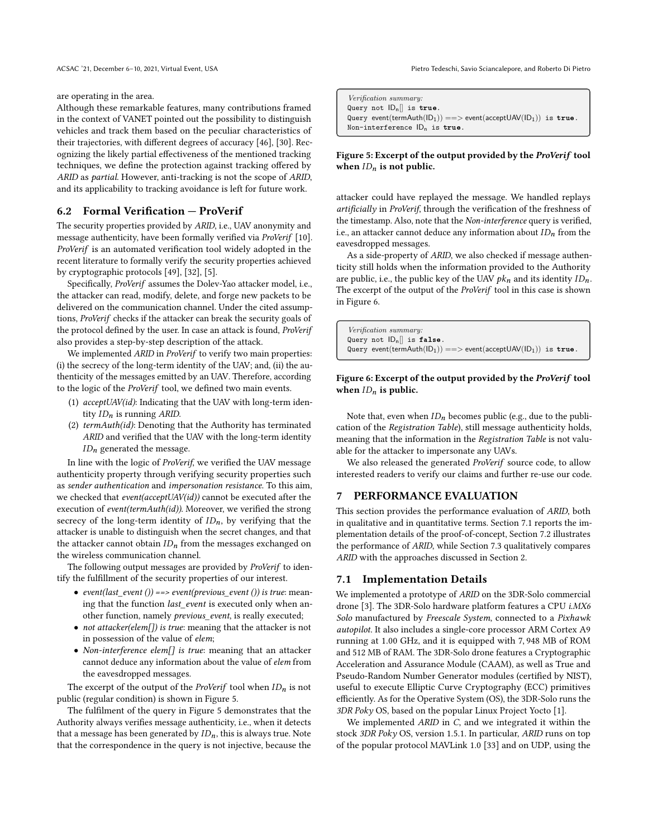are operating in the area.

Although these remarkable features, many contributions framed in the context of VANET pointed out the possibility to distinguish vehicles and track them based on the peculiar characteristics of their trajectories, with different degrees of accuracy [\[46\]](#page-11-14), [\[30\]](#page-10-28). Recognizing the likely partial effectiveness of the mentioned tracking techniques, we define the protection against tracking offered by ARID as partial. However, anti-tracking is not the scope of ARID, and its applicability to tracking avoidance is left for future work.

## <span id="page-7-1"></span>6.2 Formal Verification — ProVerif

The security properties provided by ARID, i.e., UAV anonymity and message authenticity, have been formally verified via ProVerif [\[10\]](#page-10-29). ProVerif is an automated verification tool widely adopted in the recent literature to formally verify the security properties achieved by cryptographic protocols [\[49\]](#page-11-15), [\[32\]](#page-10-30), [\[5\]](#page-10-31).

Specifically, ProVerif assumes the Dolev-Yao attacker model, i.e., the attacker can read, modify, delete, and forge new packets to be delivered on the communication channel. Under the cited assumptions, ProVerif checks if the attacker can break the security goals of the protocol defined by the user. In case an attack is found, ProVerif also provides a step-by-step description of the attack.

We implemented ARID in ProVerif to verify two main properties: (i) the secrecy of the long-term identity of the UAV; and, (ii) the authenticity of the messages emitted by an UAV. Therefore, according to the logic of the ProVerif tool, we defined two main events.

- (1) acceptUAV(id): Indicating that the UAV with long-term identity  $ID_n$  is running ARID.
- (2) termAuth(id): Denoting that the Authority has terminated ARID and verified that the UAV with the long-term identity  $ID_n$  generated the message.

In line with the logic of ProVerif, we verified the UAV message authenticity property through verifying security properties such as sender authentication and impersonation resistance. To this aim, we checked that *event(acceptUAV(id))* cannot be executed after the execution of event(termAuth(id)). Moreover, we verified the strong secrecy of the long-term identity of  $ID_n$ , by verifying that the attacker is unable to distinguish when the secret changes, and that the attacker cannot obtain  $ID_n$  from the messages exchanged on the wireless communication channel.

The following output messages are provided by *ProVerif* to identify the fulfillment of the security properties of our interest.

- event(last event ()) ==> event(previous event ()) is true: meaning that the function *last\_event* is executed only when another function, namely previous\_event, is really executed;
- not attacker(elem[]) is true: meaning that the attacker is not in possession of the value of elem;
- Non-interference elem[] is true: meaning that an attacker cannot deduce any information about the value of elem from the eavesdropped messages.

The excerpt of the output of the *ProVerif* tool when  $ID_n$  is not public (regular condition) is shown in Figure [5.](#page-7-2)

The fulfilment of the query in Figure [5](#page-7-2) demonstrates that the Authority always verifies message authenticity, i.e., when it detects that a message has been generated by  $ID_n$ , this is always true. Note that the correspondence in the query is not injective, because the

ACSAC '21, December 6–10, 2021, Virtual Event, USA Pietro Tedeschi, Savio Sciancalepore, and Roberto Di Pietro

<span id="page-7-2"></span>Verification summary: Query not  $|D_n|$  is true. Query event(termAuth(ID<sub>1</sub>)) ==> event(acceptUAV(ID<sub>1</sub>)) is true. Non-interference ID<sub>p</sub> is true.

## Figure 5: Excerpt of the output provided by the ProVerif tool when  $ID_n$  is not public.

attacker could have replayed the message. We handled replays artificially in ProVerif, through the verification of the freshness of the timestamp. Also, note that the Non-interference query is verified, i.e., an attacker cannot deduce any information about  $ID_n$  from the eavesdropped messages.

As a side-property of ARID, we also checked if message authenticity still holds when the information provided to the Authority are public, i.e., the public key of the UAV  $pk_n$  and its identity  $ID_n$ . The excerpt of the output of the ProVerif tool in this case is shown in Figure [6.](#page-7-3)

<span id="page-7-3"></span>Verification summary: Query not  $|D_n|$  is false. Query event(termAuth(ID<sub>1</sub>)) ==> event(acceptUAV(ID<sub>1</sub>)) is true.

#### Figure 6: Excerpt of the output provided by the ProVerif tool when  $ID_n$  is public.

Note that, even when  $ID_n$  becomes public (e.g., due to the publication of the Registration Table), still message authenticity holds, meaning that the information in the Registration Table is not valuable for the attacker to impersonate any UAVs.

We also released the generated ProVerif source code, to allow interested readers to verify our claims and further re-use our code.

### <span id="page-7-0"></span>7 PERFORMANCE EVALUATION

This section provides the performance evaluation of ARID, both in qualitative and in quantitative terms. Section [7.1](#page-7-4) reports the implementation details of the proof-of-concept, Section [7.2](#page-8-0) illustrates the performance of ARID, while Section [7.3](#page-9-1) qualitatively compares ARID with the approaches discussed in Section [2.](#page-1-0)

#### <span id="page-7-4"></span>7.1 Implementation Details

We implemented a prototype of ARID on the 3DR-Solo commercial drone [\[3\]](#page-10-32). The 3DR-Solo hardware platform features a CPU i.MX6 Solo manufactured by Freescale System, connected to a Pixhawk autopilot. It also includes a single-core processor ARM Cortex A9 running at 1.00 GHz, and it is equipped with 7, 948 MB of ROM and 512 MB of RAM. The 3DR-Solo drone features a Cryptographic Acceleration and Assurance Module (CAAM), as well as True and Pseudo-Random Number Generator modules (certified by NIST), useful to execute Elliptic Curve Cryptography (ECC) primitives efficiently. As for the Operative System (OS), the 3DR-Solo runs the 3DR Poky OS, based on the popular Linux Project Yocto [\[1\]](#page-10-33).

We implemented ARID in C, and we integrated it within the stock 3DR Poky OS, version 1.5.1. In particular, ARID runs on top of the popular protocol MAVLink 1.0 [\[33\]](#page-10-34) and on UDP, using the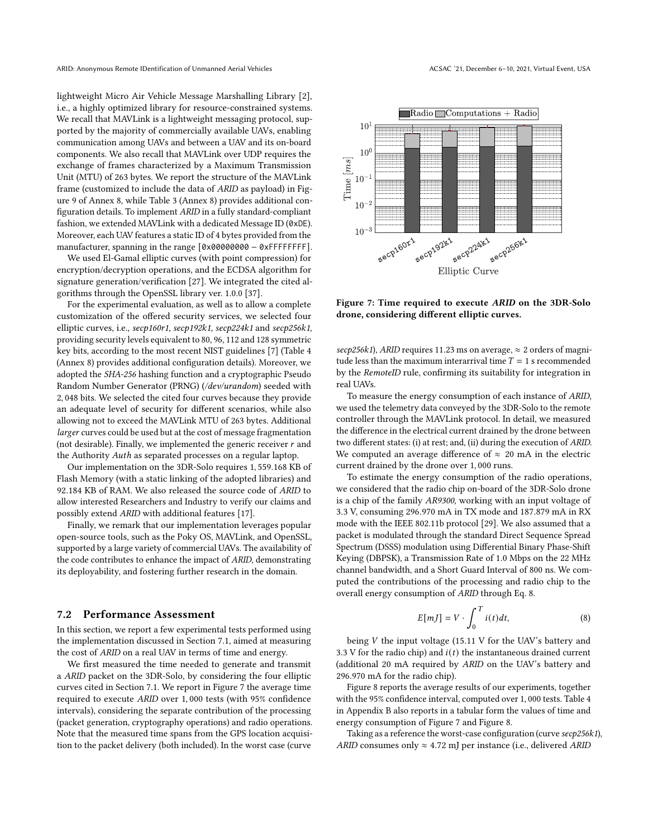ARID: Anonymous Remote IDentification of Unmanned Aerial Vehicles ACSAC '21, December 6–10, 2021, Virtual Event, USA

lightweight Micro Air Vehicle Message Marshalling Library [\[2\]](#page-10-35), i.e., a highly optimized library for resource-constrained systems. We recall that MAVLink is a lightweight messaging protocol, supported by the majority of commercially available UAVs, enabling communication among UAVs and between a UAV and its on-board components. We also recall that MAVLink over UDP requires the exchange of frames characterized by a Maximum Transmission Unit (MTU) of 263 bytes. We report the structure of the MAVLink frame (customized to include the data of ARID as payload) in Figure [9](#page-11-16) of Annex [8,](#page-11-17) while Table [3](#page-11-18) (Annex [8\)](#page-11-17) provides additional configuration details. To implement ARID in a fully standard-compliant fashion, we extended MAVLink with a dedicated Message ID (0xDE). Moreover, each UAV features a static ID of 4 bytes provided from the manufacturer, spanning in the range [0x00000000 − 0xFFFFFFFF].

We used El-Gamal elliptic curves (with point compression) for encryption/decryption operations, and the ECDSA algorithm for signature generation/verification [\[27\]](#page-10-36). We integrated the cited algorithms through the OpenSSL library ver. 1.0.0 [\[37\]](#page-10-37).

For the experimental evaluation, as well as to allow a complete customization of the offered security services, we selected four elliptic curves, i.e., secp160r1, secp192k1, secp224k1 and secp256k1, providing security levels equivalent to 80, 96, 112 and 128 symmetric key bits, according to the most recent NIST guidelines [\[7\]](#page-10-38) (Table [4](#page-11-19) (Annex [8\)](#page-11-20) provides additional configuration details). Moreover, we adopted the SHA-256 hashing function and a cryptographic Pseudo Random Number Generator (PRNG) (/dev/urandom) seeded with 2, 048 bits. We selected the cited four curves because they provide an adequate level of security for different scenarios, while also allowing not to exceed the MAVLink MTU of 263 bytes. Additional larger curves could be used but at the cost of message fragmentation (not desirable). Finally, we implemented the generic receiver  $r$  and the Authority *Auth* as separated processes on a regular laptop.

Our implementation on the 3DR-Solo requires 1, 559.168 KB of Flash Memory (with a static linking of the adopted libraries) and 92.184 KB of RAM. We also released the source code of ARID to allow interested Researchers and Industry to verify our claims and possibly extend ARID with additional features [\[17\]](#page-10-12).

Finally, we remark that our implementation leverages popular open-source tools, such as the Poky OS, MAVLink, and OpenSSL, supported by a large variety of commercial UAVs. The availability of the code contributes to enhance the impact of ARID, demonstrating its deployability, and fostering further research in the domain.

#### <span id="page-8-0"></span>7.2 Performance Assessment

In this section, we report a few experimental tests performed using the implementation discussed in Section [7.1,](#page-7-4) aimed at measuring the cost of ARID on a real UAV in terms of time and energy.

We first measured the time needed to generate and transmit a ARID packet on the 3DR-Solo, by considering the four elliptic curves cited in Section [7.1.](#page-7-4) We report in Figure [7](#page-8-1) the average time required to execute ARID over 1, 000 tests (with 95% confidence intervals), considering the separate contribution of the processing (packet generation, cryptography operations) and radio operations. Note that the measured time spans from the GPS location acquisition to the packet delivery (both included). In the worst case (curve

<span id="page-8-1"></span>

Figure 7: Time required to execute ARID on the 3DR-Solo drone, considering different elliptic curves.

secp256k1), ARID requires 11.23 ms on average,  $\approx$  2 orders of magnitude less than the maximum interarrival time  $T = 1$  s recommended by the RemoteID rule, confirming its suitability for integration in real UAVs.

To measure the energy consumption of each instance of ARID, we used the telemetry data conveyed by the 3DR-Solo to the remote controller through the MAVLink protocol. In detail, we measured the difference in the electrical current drained by the drone between two different states: (i) at rest; and, (ii) during the execution of ARID. We computed an average difference of  $\approx 20$  mA in the electric current drained by the drone over 1, 000 runs.

To estimate the energy consumption of the radio operations, we considered that the radio chip on-board of the 3DR-Solo drone is a chip of the family AR9300, working with an input voltage of 3.3 V, consuming 296.970 mA in TX mode and 187.879 mA in RX mode with the IEEE 802.11b protocol [\[29\]](#page-10-39). We also assumed that a packet is modulated through the standard Direct Sequence Spread Spectrum (DSSS) modulation using Differential Binary Phase-Shift Keying (DBPSK), a Transmission Rate of 1.0 Mbps on the 22 MHz channel bandwidth, and a Short Guard Interval of 800 ns. We computed the contributions of the processing and radio chip to the overall energy consumption of ARID through Eq. [8.](#page-8-2)

<span id="page-8-2"></span>
$$
E[mJ] = V \cdot \int_0^T i(t)dt,
$$
\n(8)

being  $V$  the input voltage (15.11 V for the UAV's battery and 3.3 V for the radio chip) and  $i(t)$  the instantaneous drained current (additional 20 mA required by ARID on the UAV's battery and 296.970 mA for the radio chip).

Figure [8](#page-9-2) reports the average results of our experiments, together with the 95% confidence interval, computed over 1, 000 tests. Table [4](#page-11-19) in Appendix B also reports in a tabular form the values of time and energy consumption of Figure [7](#page-8-1) and Figure [8.](#page-9-2)

Taking as a reference the worst-case configuration (curve secp256k1), ARID consumes only  $\approx 4.72$  mJ per instance (i.e., delivered ARID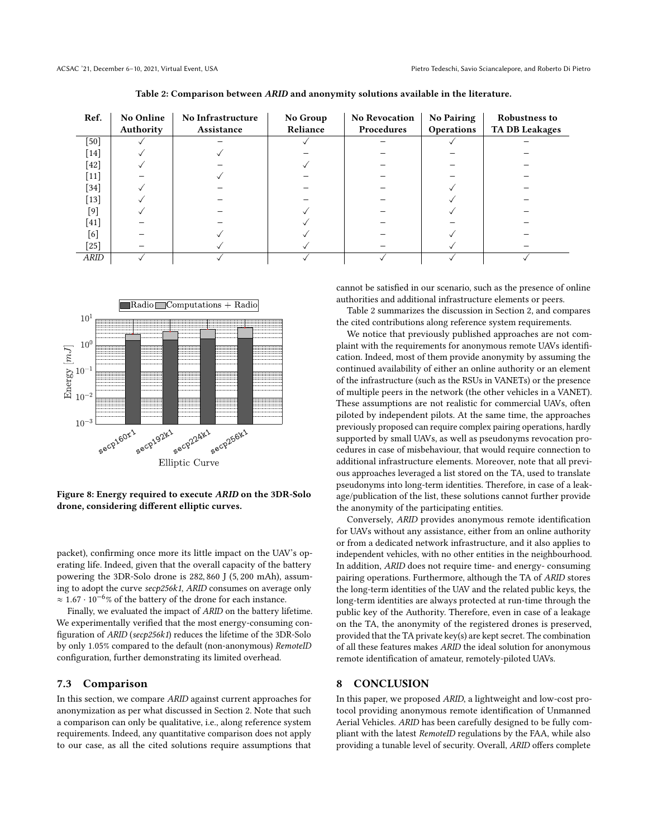<span id="page-9-3"></span>

| Ref.              | <b>No Online</b> | No Infrastructure | No Group | <b>No Revocation</b> | <b>No Pairing</b> | <b>Robustness to</b>  |
|-------------------|------------------|-------------------|----------|----------------------|-------------------|-----------------------|
|                   | Authority        | Assistance        | Reliance | Procedures           | Operations        | <b>TA DB Leakages</b> |
| [50]              |                  |                   |          |                      |                   |                       |
| $\left[14\right]$ |                  |                   |          |                      |                   |                       |
| [42]              |                  |                   |          |                      |                   |                       |
| $[11]$            |                  |                   |          |                      |                   |                       |
| [34]              |                  |                   |          |                      |                   |                       |
| $\left[13\right]$ |                  |                   |          |                      |                   |                       |
| $^{[9]}$          |                  |                   |          |                      |                   |                       |
| $[41]$            |                  |                   |          |                      |                   |                       |
| [6]               |                  |                   |          |                      |                   |                       |
| $^{[25]}$         |                  |                   |          |                      |                   |                       |
| <b>ARID</b>       |                  |                   |          |                      |                   |                       |

Table 2: Comparison between ARID and anonymity solutions available in the literature.

<span id="page-9-2"></span>

Figure 8: Energy required to execute ARID on the 3DR-Solo drone, considering different elliptic curves.

packet), confirming once more its little impact on the UAV's operating life. Indeed, given that the overall capacity of the battery powering the 3DR-Solo drone is 282, 860 J (5, 200 mAh), assuming to adopt the curve secp256k1, ARID consumes on average only  $\approx 1.67\cdot 10^{-6}\%$  of the battery of the drone for each instance.

Finally, we evaluated the impact of ARID on the battery lifetime. We experimentally verified that the most energy-consuming configuration of ARID (secp256k1) reduces the lifetime of the 3DR-Solo by only 1.05% compared to the default (non-anonymous) RemoteID configuration, further demonstrating its limited overhead.

#### <span id="page-9-1"></span>7.3 Comparison

In this section, we compare ARID against current approaches for anonymization as per what discussed in Section [2.](#page-1-0) Note that such a comparison can only be qualitative, i.e., along reference system requirements. Indeed, any quantitative comparison does not apply to our case, as all the cited solutions require assumptions that

cannot be satisfied in our scenario, such as the presence of online authorities and additional infrastructure elements or peers.

Table [2](#page-9-3) summarizes the discussion in Section [2,](#page-1-0) and compares the cited contributions along reference system requirements.

We notice that previously published approaches are not complaint with the requirements for anonymous remote UAVs identification. Indeed, most of them provide anonymity by assuming the continued availability of either an online authority or an element of the infrastructure (such as the RSUs in VANETs) or the presence of multiple peers in the network (the other vehicles in a VANET). These assumptions are not realistic for commercial UAVs, often piloted by independent pilots. At the same time, the approaches previously proposed can require complex pairing operations, hardly supported by small UAVs, as well as pseudonyms revocation procedures in case of misbehaviour, that would require connection to additional infrastructure elements. Moreover, note that all previous approaches leveraged a list stored on the TA, used to translate pseudonyms into long-term identities. Therefore, in case of a leakage/publication of the list, these solutions cannot further provide the anonymity of the participating entities.

Conversely, ARID provides anonymous remote identification for UAVs without any assistance, either from an online authority or from a dedicated network infrastructure, and it also applies to independent vehicles, with no other entities in the neighbourhood. In addition, ARID does not require time- and energy- consuming pairing operations. Furthermore, although the TA of ARID stores the long-term identities of the UAV and the related public keys, the long-term identities are always protected at run-time through the public key of the Authority. Therefore, even in case of a leakage on the TA, the anonymity of the registered drones is preserved, provided that the TA private key(s) are kept secret. The combination of all these features makes ARID the ideal solution for anonymous remote identification of amateur, remotely-piloted UAVs.

## <span id="page-9-0"></span>8 CONCLUSION

In this paper, we proposed ARID, a lightweight and low-cost protocol providing anonymous remote identification of Unmanned Aerial Vehicles. ARID has been carefully designed to be fully compliant with the latest RemoteID regulations by the FAA, while also providing a tunable level of security. Overall, ARID offers complete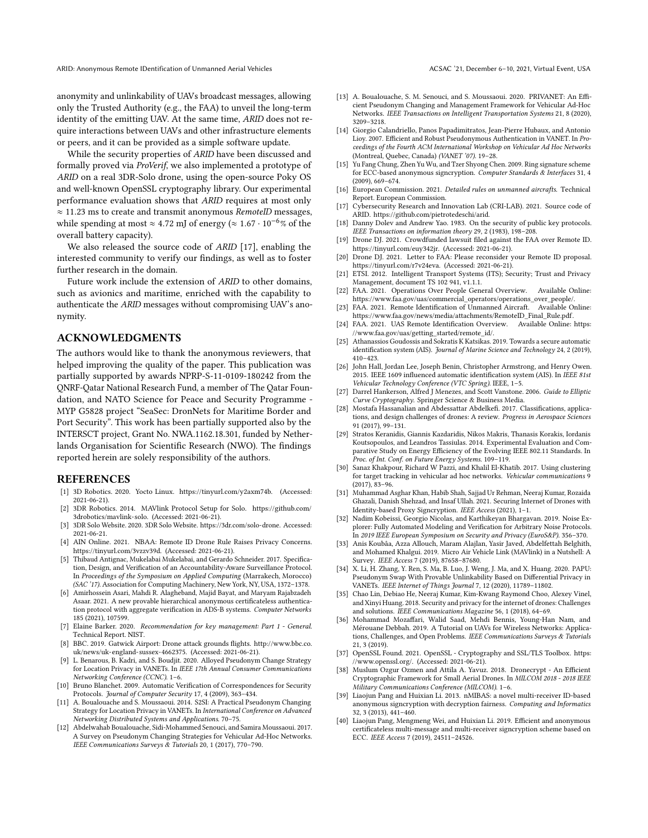ARID: Anonymous Remote IDentification of Unmanned Aerial Vehicles ACSAC '21, December 6–10, 2021, Virtual Event, USA

anonymity and unlinkability of UAVs broadcast messages, allowing only the Trusted Authority (e.g., the FAA) to unveil the long-term identity of the emitting UAV. At the same time, ARID does not require interactions between UAVs and other infrastructure elements or peers, and it can be provided as a simple software update.

While the security properties of ARID have been discussed and formally proved via ProVerif, we also implemented a prototype of ARID on a real 3DR-Solo drone, using the open-source Poky OS and well-known OpenSSL cryptography library. Our experimental performance evaluation shows that ARID requires at most only  $\approx$  11.23 ms to create and transmit anonymous *RemoteID* messages, while spending at most  $\approx 4.72$  mJ of energy ( $\approx 1.67 \cdot 10^{-6}$ % of the overall battery capacity).

We also released the source code of ARID [\[17\]](#page-10-12), enabling the interested community to verify our findings, as well as to foster further research in the domain.

Future work include the extension of ARID to other domains, such as avionics and maritime, enriched with the capability to authenticate the ARID messages without compromising UAV's anonymity.

## ACKNOWLEDGMENTS

The authors would like to thank the anonymous reviewers, that helped improving the quality of the paper. This publication was partially supported by awards NPRP-S-11-0109-180242 from the QNRF-Qatar National Research Fund, a member of The Qatar Foundation, and NATO Science for Peace and Security Programme - MYP G5828 project "SeaSec: DronNets for Maritime Border and Port Security". This work has been partially supported also by the INTERSCT project, Grant No. NWA.1162.18.301, funded by Netherlands Organisation for Scientific Research (NWO). The findings reported herein are solely responsibility of the authors.

#### **REFERENCES**

- <span id="page-10-33"></span>[1] 3D Robotics. 2020. Yocto Linux. [https://tinyurl.com/y2axm74b.](https://tinyurl.com/y2axm74b) (Accessed: 2021-06-21).
- <span id="page-10-35"></span>[2] 3DR Robotics. 2014. MAVlink Protocol Setup for Solo. [https://github.com/](https://github.com/3drobotics/mavlink-solo) [3drobotics/mavlink-solo.](https://github.com/3drobotics/mavlink-solo) (Accessed: 2021-06-21).
- <span id="page-10-32"></span>[3] 3DR Solo Website. 2020. 3DR Solo Website. [https://3dr.com/solo-drone.](https://3dr.com/solo-drone) Accessed: 2021-06-21.
- <span id="page-10-7"></span>[4] AIN Online. 2021. NBAA: Remote ID Drone Rule Raises Privacy Concerns. [https://tinyurl.com/3vzzv39d.](https://tinyurl.com/3vzzv39d) (Accessed: 2021-06-21).
- <span id="page-10-31"></span>[5] Thibaud Antignac, Mukelabai Mukelabai, and Gerardo Schneider. 2017. Specification, Design, and Verification of an Accountability-Aware Surveillance Protocol. In Proceedings of the Symposium on Applied Computing (Marrakech, Morocco) (SAC '17). Association for Computing Machinery, New York, NY, USA, 1372–1378.
- <span id="page-10-18"></span>[6] Amirhossein Asari, Mahdi R. Alagheband, Majid Bayat, and Maryam Rajabzadeh Asaar. 2021. A new provable hierarchical anonymous certificateless authentication protocol with aggregate verification in ADS-B systems. Computer Networks 185 (2021), 107599.
- <span id="page-10-38"></span>[7] Elaine Barker. 2020. Recommendation for key management: Part 1 - General. Technical Report. NIST.
- <span id="page-10-3"></span>[8] BBC. 2019. Gatwick Airport: Drone attack grounds flights. [http://www.bbc.co.](http://www.bbc.co.uk/news/uk-england-sussex-4662375) [uk/news/uk-england-sussex-4662375.](http://www.bbc.co.uk/news/uk-england-sussex-4662375) (Accessed: 2021-06-21).
- <span id="page-10-16"></span>[9] L. Benarous, B. Kadri, and S. Boudjit. 2020. Alloyed Pseudonym Change Strategy for Location Privacy in VANETs. In IEEE 17th Annual Consumer Communications Networking Conference (CCNC). 1–6.
- <span id="page-10-29"></span>[10] Bruno Blanchet. 2009. Automatic Verification of Correspondences for Security Protocols. Journal of Computer Security 17, 4 (2009), 363–434.
- <span id="page-10-14"></span>[11] A. Boualouache and S. Moussaoui. 2014. S2SI: A Practical Pseudonym Changing Strategy for Location Privacy in VANETs. In International Conference on Advanced Networking Distributed Systems and Applications. 70–75.
- <span id="page-10-10"></span>[12] Abdelwahab Boualouache, Sidi-Mohammed Senouci, and Samira Moussaoui. 2017. A Survey on Pseudonym Changing Strategies for Vehicular Ad-Hoc Networks. IEEE Communications Surveys & Tutorials 20, 1 (2017), 770–790.
- <span id="page-10-15"></span>[13] A. Boualouache, S. M. Senouci, and S. Moussaoui. 2020. PRIVANET: An Efficient Pseudonym Changing and Management Framework for Vehicular Ad-Hoc Networks. IEEE Transactions on Intelligent Transportation Systems 21, 8 (2020), 3209–3218.
- <span id="page-10-13"></span>[14] Giorgio Calandriello, Panos Papadimitratos, Jean-Pierre Hubaux, and Antonio Lioy. 2007. Efficient and Robust Pseudonymous Authentication in VANET. In Proceedings of the Fourth ACM International Workshop on Vehicular Ad Hoc Networks (Montreal, Quebec, Canada) (VANET '07). 19–28.
- <span id="page-10-24"></span>[15] Yu Fang Chung, Zhen Yu Wu, and Tzer Shyong Chen. 2009. Ring signature scheme for ECC-based anonymous signcryption. Computer Standards & Interfaces 31, 4 (2009), 669–674.
- <span id="page-10-5"></span>[16] European Commission. 2021. Detailed rules on unmanned aircrafts. Technical Report. European Commission.
- <span id="page-10-12"></span>[17] Cybersecurity Research and Innovation Lab (CRI-LAB). 2021. Source code of ARID. [https://github.com/pietrotedeschi/arid.](https://github.com/pietrotedeschi/arid)
- <span id="page-10-27"></span>[18] Danny Dolev and Andrew Yao. 1983. On the security of public key protocols. IEEE Transactions on information theory 29, 2 (1983), 198–208.
- <span id="page-10-9"></span>[19] Drone DJ. 2021. Crowdfunded lawsuit filed against the FAA over Remote ID. [https://tinyurl.com/euy342jr.](https://tinyurl.com/euy342jr) (Accessed: 2021-06-21).
- <span id="page-10-8"></span>[20] Drone DJ. 2021. Letter to FAA: Please reconsider your Remote ID proposal. [https://tinyurl.com/r7v24eva.](https://tinyurl.com/r7v24eva) (Accessed: 2021-06-21).
- <span id="page-10-11"></span>[21] ETSI. 2012. Intelligent Transport Systems (ITS); Security; Trust and Privacy Management, document TS 102 941, v1.1.1.
- <span id="page-10-25"></span>[22] FAA. 2021. Operations Over People General Overview. Available Online: [https://www.faa.gov/uas/commercial\\_operators/operations\\_over\\_people/.](https://www.faa.gov/uas/commercial_operators/operations_over_people/)
- <span id="page-10-4"></span>[23] FAA. 2021. Remote Identification of Unmanned Aircraft. Available Online: [https://www.faa.gov/news/media/attachments/RemoteID\\_Final\\_Rule.pdf.](https://www.faa.gov/news/media/attachments/RemoteID_Final_Rule.pdf) [24] FAA. 2021. UAS Remote Identification Overview. Available Online: [https:](https://www.faa.gov/uas/getting_started/remote_id/)
- <span id="page-10-6"></span>[//www.faa.gov/uas/getting\\_started/remote\\_id/.](https://www.faa.gov/uas/getting_started/remote_id/) [25] Athanassios Goudossis and Sokratis K Katsikas. 2019. Towards a secure automatic
- <span id="page-10-19"></span>identification system (AIS). Journal of Marine Science and Technology 24, 2 (2019), 410–423.
- <span id="page-10-20"></span>[26] John Hall, Jordan Lee, Joseph Benin, Christopher Armstrong, and Henry Owen. 2015. IEEE 1609 influenced automatic identification system (AIS). In IEEE 81st Vehicular Technology Conference (VTC Spring). IEEE, 1–5.
- <span id="page-10-36"></span>[27] Darrel Hankerson, Alfred J Menezes, and Scott Vanstone, 2006. Guide to Elliptic Curve Cryptography. Springer Science & Business Media.
- <span id="page-10-1"></span>[28] Mostafa Hassanalian and Abdessattar Abdelkefi. 2017. Classifications, applications, and design challenges of drones: A review. Progress in Aerospace Sciences 91 (2017), 99–131.
- <span id="page-10-39"></span>[29] Stratos Keranidis, Giannis Kazdaridis, Nikos Makris, Thanasis Korakis, Iordanis Koutsopoulos, and Leandros Tassiulas. 2014. Experimental Evaluation and Comparative Study on Energy Efficiency of the Evolving IEEE 802.11 Standards. In Proc. of Int. Conf. on Future Energy Systems. 109–119.
- <span id="page-10-28"></span>[30] Sanaz Khakpour, Richard W Pazzi, and Khalil El-Khatib. 2017. Using clustering for target tracking in vehicular ad hoc networks. Vehicular communications 9 (2017), 83–96.
- <span id="page-10-22"></span>[31] Muhammad Asghar Khan, Habib Shah, Sajjad Ur Rehman, Neeraj Kumar, Rozaida Ghazali, Danish Shehzad, and Insaf Ullah. 2021. Securing Internet of Drones with Identity-based Proxy Signcryption. IEEE Access (2021), 1–1.
- <span id="page-10-30"></span>[32] Nadim Kobeissi, Georgio Nicolas, and Karthikeyan Bhargavan. 2019. Noise Explorer: Fully Automated Modeling and Verification for Arbitrary Noise Protocols. In 2019 IEEE European Symposium on Security and Privacy (EuroS&P). 356–370.
- <span id="page-10-34"></span>[33] Anis Koubâa, Azza Allouch, Maram Alajlan, Yasir Javed, Abdelfettah Belghith, and Mohamed Khalgui. 2019. Micro Air Vehicle Link (MAVlink) in a Nutshell: A Survey. IEEE Access 7 (2019), 87658–87680.
- <span id="page-10-17"></span>[34] X. Li, H. Zhang, Y. Ren, S. Ma, B. Luo, J. Weng, J. Ma, and X. Huang. 2020. PAPU: Pseudonym Swap With Provable Unlinkability Based on Differential Privacy in VANETs. IEEE Internet of Things Journal 7, 12 (2020), 11789–11802.
- <span id="page-10-2"></span>[35] Chao Lin, Debiao He, Neeraj Kumar, Kim-Kwang Raymond Choo, Alexey Vinel, and Xinyi Huang. 2018. Security and privacy for the internet of drones: Challenges and solutions. IEEE Communications Magazine 56, 1 (2018), 64–69.
- <span id="page-10-0"></span>[36] Mohammad Mozaffari, Walid Saad, Mehdi Bennis, Young-Han Nam, and Mérouane Debbah. 2019. A Tutorial on UAVs for Wireless Networks: Applications, Challenges, and Open Problems. IEEE Communications Surveys & Tutorials 21, 3 (2019).
- <span id="page-10-37"></span>[37] OpenSSL Found. 2021. OpenSSL - Cryptography and SSL/TLS Toolbox. [https:](https://www.openssl.org/) [//www.openssl.org/.](https://www.openssl.org/) (Accessed: 2021-06-21).
- <span id="page-10-26"></span>[38] Muslum Ozgur Ozmen and Attila A. Yavuz. 2018. Dronecrypt - An Efficient Cryptographic Framework for Small Aerial Drones. In MILCOM 2018 - 2018 IEEE Military Communications Conference (MILCOM). 1–6.
- <span id="page-10-23"></span>[39] Liaojun Pang and Huixian Li. 2013. nMIBAS: a novel multi-receiver ID-based anonymous signcryption with decryption fairness. Computing and Informatics 32, 3 (2013), 441–460.
- <span id="page-10-21"></span>[40] Liaojun Pang, Mengmeng Wei, and Huixian Li. 2019. Efficient and anonymous certificateless multi-message and multi-receiver signcryption scheme based on ECC. IEEE Access 7 (2019), 24511–24526.